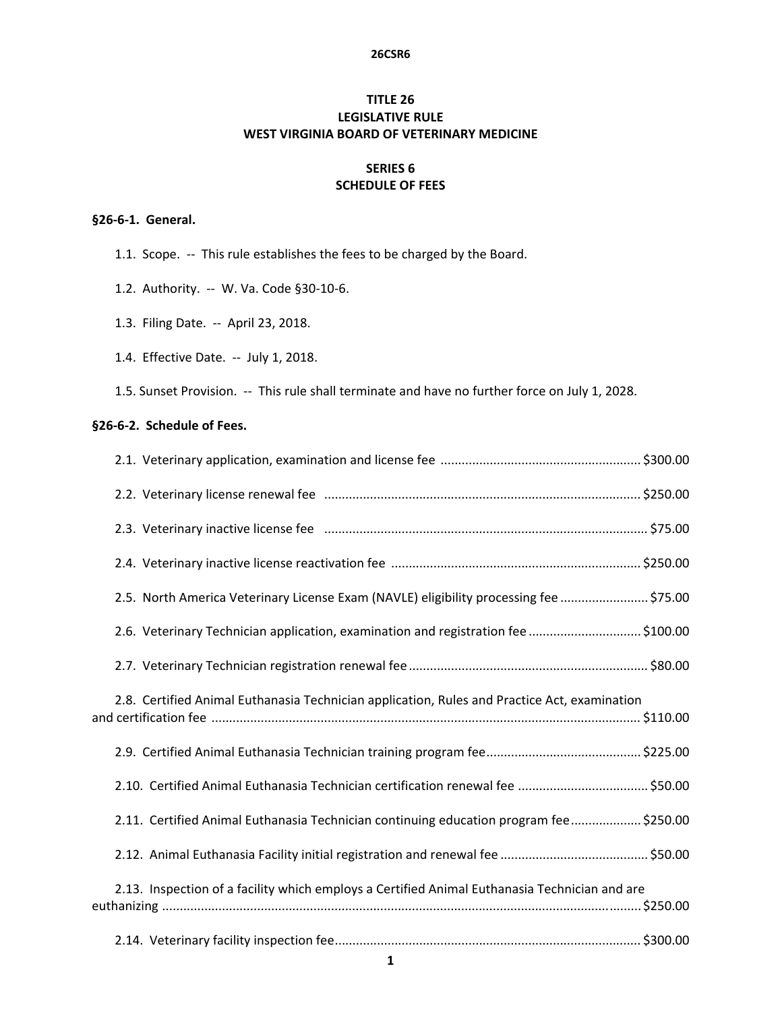#### **26CSR6**

# **TITLE 26 LEGISLATIVE RULE WEST VIRGINIA BOARD OF VETERINARY MEDICINE**

## **SERIES 6 SCHEDULE OF FEES**

### **§26‐6‐1. General.**

- 1.1. Scope. -- This rule establishes the fees to be charged by the Board.
- 1.2. Authority. -- W. Va. Code §30-10-6.
- 1.3. Filing Date. ‐‐ April 23, 2018.
- 1.4. Effective Date. ‐‐ July 1, 2018.
- 1.5. Sunset Provision. -- This rule shall terminate and have no further force on July 1, 2028.

### **§26‐6‐2. Schedule of Fees.**

| 2.5. North America Veterinary License Exam (NAVLE) eligibility processing fee  \$75.00        |  |
|-----------------------------------------------------------------------------------------------|--|
| 2.6. Veterinary Technician application, examination and registration fee \$100.00             |  |
|                                                                                               |  |
| 2.8. Certified Animal Euthanasia Technician application, Rules and Practice Act, examination  |  |
|                                                                                               |  |
|                                                                                               |  |
| 2.11. Certified Animal Euthanasia Technician continuing education program fee\$250.00         |  |
|                                                                                               |  |
| 2.13. Inspection of a facility which employs a Certified Animal Euthanasia Technician and are |  |
|                                                                                               |  |